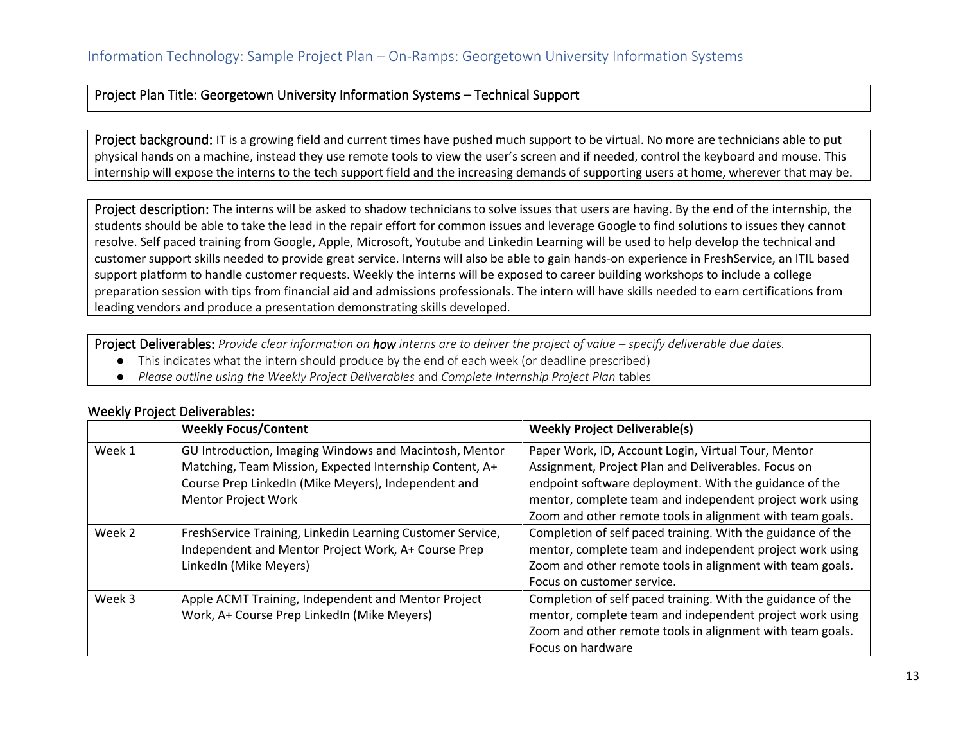## Project Plan Title: Georgetown University Information Systems – Technical Support

Project background: IT is a growing field and current times have pushed much support to be virtual. No more are technicians able to put physical hands on a machine, instead they use remote tools to view the user's screen and if needed, control the keyboard and mouse. This internship will expose the interns to the tech support field and the increasing demands of supporting users at home, wherever that may be.

Project description: The interns will be asked to shadow technicians to solve issues that users are having. By the end of the internship, the students should be able to take the lead in the repair effort for common issues and leverage Google to find solutions to issues they cannot resolve. Self paced training from Google, Apple, Microsoft, Youtube and Linkedin Learning will be used to help develop the technical and customer support skills needed to provide great service. Interns will also be able to gain hands-on experience in FreshService, an ITIL based support platform to handle customer requests. Weekly the interns will be exposed to career building workshops to include a college preparation session with tips from financial aid and admissions professionals. The intern will have skills needed to earn certifications from leading vendors and produce a presentation demonstrating skills developed.

Project Deliverables: *Provide clear information on how interns are to deliver the project of value – specify deliverable due dates.* 

- This indicates what the intern should produce by the end of each week (or deadline prescribed)
- *Please outline using the Weekly Project Deliverables* and *Complete Internship Project Plan* tables

|        | <b>Weekly Focus/Content</b>                                | <b>Weekly Project Deliverable(s)</b>                        |  |  |  |
|--------|------------------------------------------------------------|-------------------------------------------------------------|--|--|--|
| Week 1 | GU Introduction, Imaging Windows and Macintosh, Mentor     | Paper Work, ID, Account Login, Virtual Tour, Mentor         |  |  |  |
|        | Matching, Team Mission, Expected Internship Content, A+    | Assignment, Project Plan and Deliverables. Focus on         |  |  |  |
|        | Course Prep LinkedIn (Mike Meyers), Independent and        | endpoint software deployment. With the guidance of the      |  |  |  |
|        | Mentor Project Work                                        | mentor, complete team and independent project work using    |  |  |  |
|        |                                                            | Zoom and other remote tools in alignment with team goals.   |  |  |  |
| Week 2 | FreshService Training, Linkedin Learning Customer Service, | Completion of self paced training. With the guidance of the |  |  |  |
|        | Independent and Mentor Project Work, A+ Course Prep        | mentor, complete team and independent project work using    |  |  |  |
|        | LinkedIn (Mike Meyers)                                     | Zoom and other remote tools in alignment with team goals.   |  |  |  |
|        |                                                            | Focus on customer service.                                  |  |  |  |
| Week 3 | Apple ACMT Training, Independent and Mentor Project        | Completion of self paced training. With the guidance of the |  |  |  |
|        | Work, A+ Course Prep LinkedIn (Mike Meyers)                | mentor, complete team and independent project work using    |  |  |  |
|        |                                                            | Zoom and other remote tools in alignment with team goals.   |  |  |  |
|        |                                                            | Focus on hardware                                           |  |  |  |

## Weekly Project Deliverables: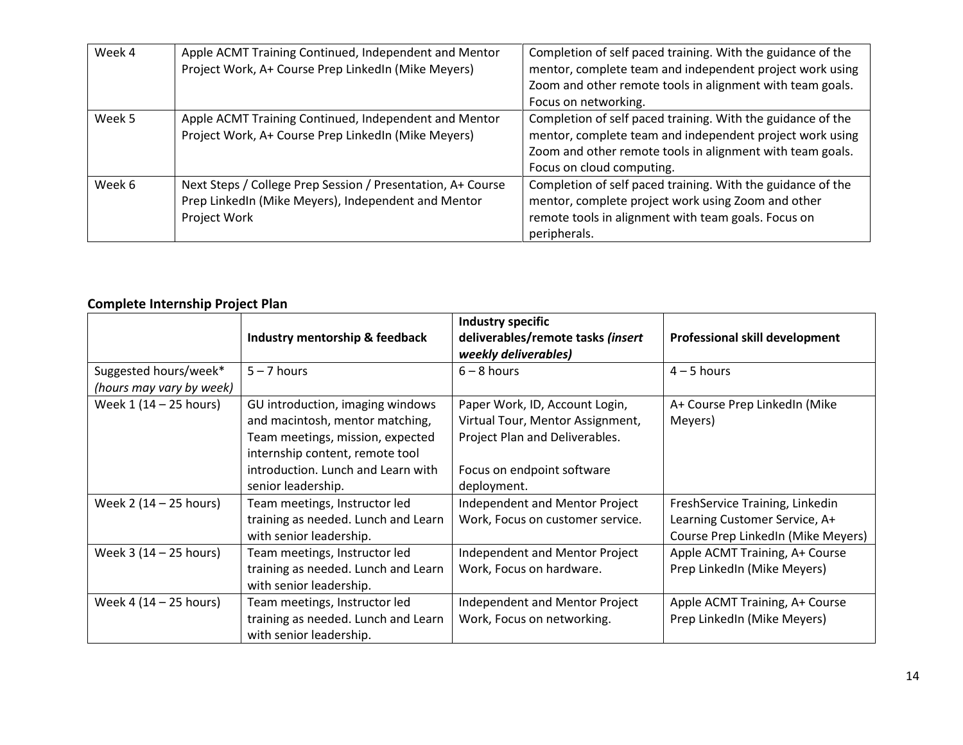| Week 4 | Apple ACMT Training Continued, Independent and Mentor<br>Project Work, A+ Course Prep LinkedIn (Mike Meyers)                       | Completion of self paced training. With the guidance of the<br>mentor, complete team and independent project work using<br>Zoom and other remote tools in alignment with team goals.<br>Focus on networking.      |
|--------|------------------------------------------------------------------------------------------------------------------------------------|-------------------------------------------------------------------------------------------------------------------------------------------------------------------------------------------------------------------|
| Week 5 | Apple ACMT Training Continued, Independent and Mentor<br>Project Work, A+ Course Prep LinkedIn (Mike Meyers)                       | Completion of self paced training. With the guidance of the<br>mentor, complete team and independent project work using<br>Zoom and other remote tools in alignment with team goals.<br>Focus on cloud computing. |
| Week 6 | Next Steps / College Prep Session / Presentation, A+ Course<br>Prep LinkedIn (Mike Meyers), Independent and Mentor<br>Project Work | Completion of self paced training. With the guidance of the<br>mentor, complete project work using Zoom and other<br>remote tools in alignment with team goals. Focus on<br>peripherals.                          |

## **Complete Internship Project Plan**

|                          | Industry mentorship & feedback      | Industry specific<br>deliverables/remote tasks (insert<br>weekly deliverables) | <b>Professional skill development</b> |
|--------------------------|-------------------------------------|--------------------------------------------------------------------------------|---------------------------------------|
| Suggested hours/week*    | $5 - 7$ hours                       | $6 - 8$ hours                                                                  | $4 - 5$ hours                         |
| (hours may vary by week) |                                     |                                                                                |                                       |
| Week 1 (14 - 25 hours)   | GU introduction, imaging windows    | Paper Work, ID, Account Login,                                                 | A+ Course Prep LinkedIn (Mike         |
|                          | and macintosh, mentor matching,     | Virtual Tour, Mentor Assignment,                                               | Meyers)                               |
|                          | Team meetings, mission, expected    | Project Plan and Deliverables.                                                 |                                       |
|                          | internship content, remote tool     |                                                                                |                                       |
|                          | introduction. Lunch and Learn with  | Focus on endpoint software                                                     |                                       |
|                          | senior leadership.                  | deployment.                                                                    |                                       |
| Week 2 (14 - 25 hours)   | Team meetings, Instructor led       | Independent and Mentor Project                                                 | FreshService Training, Linkedin       |
|                          | training as needed. Lunch and Learn | Work, Focus on customer service.                                               | Learning Customer Service, A+         |
|                          | with senior leadership.             |                                                                                | Course Prep LinkedIn (Mike Meyers)    |
| Week 3 (14 – 25 hours)   | Team meetings, Instructor led       | Independent and Mentor Project                                                 | Apple ACMT Training, A+ Course        |
|                          | training as needed. Lunch and Learn | Work, Focus on hardware.                                                       | Prep LinkedIn (Mike Meyers)           |
|                          | with senior leadership.             |                                                                                |                                       |
| Week 4 (14 - 25 hours)   | Team meetings, Instructor led       | Independent and Mentor Project                                                 | Apple ACMT Training, A+ Course        |
|                          | training as needed. Lunch and Learn | Work, Focus on networking.                                                     | Prep LinkedIn (Mike Meyers)           |
|                          | with senior leadership.             |                                                                                |                                       |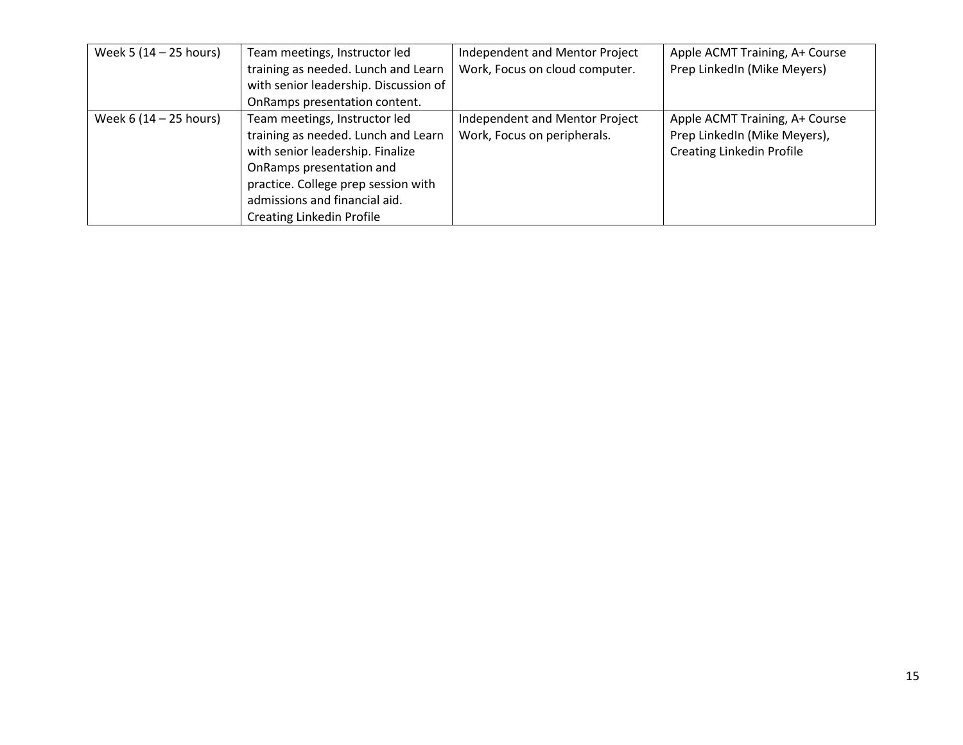| Week 5 (14 – 25 hours)<br>Team meetings, Instructor led |                                       | Independent and Mentor Project | Apple ACMT Training, A+ Course   |  |  |
|---------------------------------------------------------|---------------------------------------|--------------------------------|----------------------------------|--|--|
|                                                         | training as needed. Lunch and Learn   | Work, Focus on cloud computer. | Prep LinkedIn (Mike Meyers)      |  |  |
|                                                         | with senior leadership. Discussion of |                                |                                  |  |  |
|                                                         | OnRamps presentation content.         |                                |                                  |  |  |
| Week $6(14 - 25$ hours)                                 | Team meetings, Instructor led         | Independent and Mentor Project | Apple ACMT Training, A+ Course   |  |  |
|                                                         | training as needed. Lunch and Learn   | Work, Focus on peripherals.    | Prep LinkedIn (Mike Meyers),     |  |  |
|                                                         | with senior leadership. Finalize      |                                | <b>Creating Linkedin Profile</b> |  |  |
|                                                         | OnRamps presentation and              |                                |                                  |  |  |
|                                                         | practice. College prep session with   |                                |                                  |  |  |
|                                                         | admissions and financial aid.         |                                |                                  |  |  |
|                                                         | <b>Creating Linkedin Profile</b>      |                                |                                  |  |  |